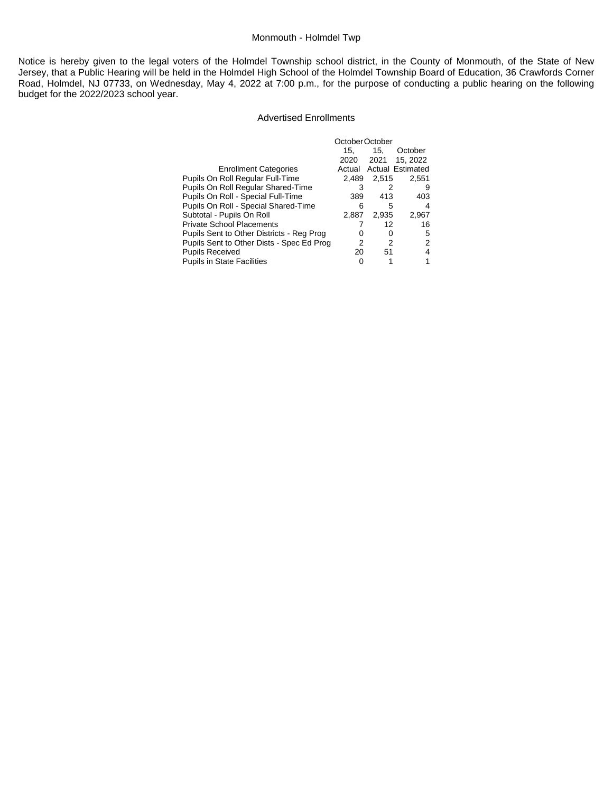# Monmouth - Holmdel Twp

Notice is hereby given to the legal voters of the Holmdel Township school district, in the County of Monmouth, of the State of New Jersey, that a Public Hearing will be held in the Holmdel High School of the Holmdel Township Board of Education, 36 Crawfords Corner Road, Holmdel, NJ 07733, on Wednesday, May 4, 2022 at 7:00 p.m., for the purpose of conducting a public hearing on the following budget for the 2022/2023 school year.

#### Advertised Enrollments

|                                           | October October |       |                         |  |
|-------------------------------------------|-----------------|-------|-------------------------|--|
|                                           | 15.             | 15.   | October                 |  |
|                                           | 2020            | 2021  | 15, 2022                |  |
| <b>Enrollment Categories</b>              | Actual          |       | <b>Actual Estimated</b> |  |
| Pupils On Roll Regular Full-Time          | 2.489           | 2,515 | 2.551                   |  |
| Pupils On Roll Regular Shared-Time        |                 | 2     | 9                       |  |
| Pupils On Roll - Special Full-Time        | 389             | 413   | 403                     |  |
| Pupils On Roll - Special Shared-Time      | 6               | 5     | 4                       |  |
| Subtotal - Pupils On Roll                 | 2,887           | 2,935 | 2,967                   |  |
| <b>Private School Placements</b>          |                 | 12    | 16                      |  |
| Pupils Sent to Other Districts - Reg Prog | Ω               | 0     | 5                       |  |
| Pupils Sent to Other Dists - Spec Ed Prog | 2               | 2     | 2                       |  |
| <b>Pupils Received</b>                    | 20              | 51    | 4                       |  |
| <b>Pupils in State Facilities</b>         |                 |       |                         |  |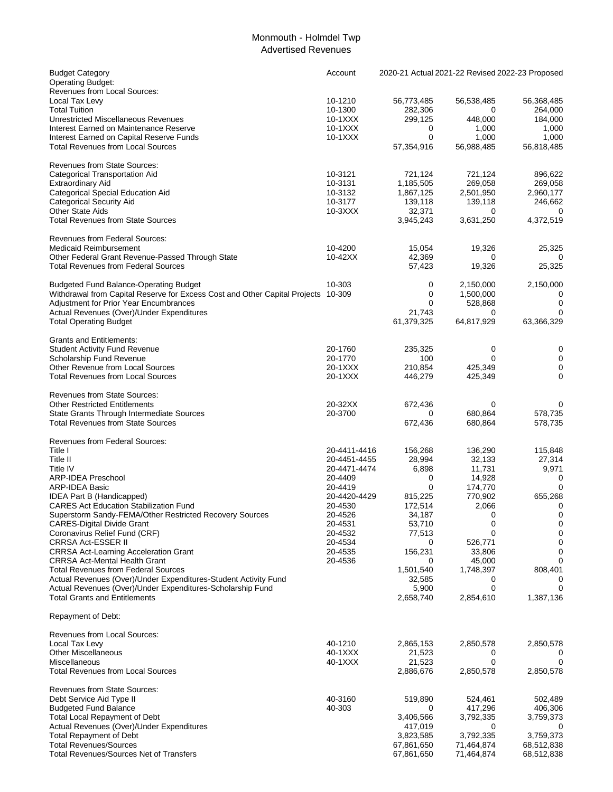### Monmouth - Holmdel Twp Advertised Revenues

| <b>Budget Category</b><br><b>Operating Budget:</b>                                                       | Account            | 2020-21 Actual 2021-22 Revised 2022-23 Proposed |                        |            |
|----------------------------------------------------------------------------------------------------------|--------------------|-------------------------------------------------|------------------------|------------|
| Revenues from Local Sources:                                                                             |                    |                                                 |                        |            |
| Local Tax Levy                                                                                           | 10-1210            | 56,773,485                                      | 56,538,485             | 56,368,485 |
| <b>Total Tuition</b>                                                                                     | 10-1300            | 282,306                                         | 0                      | 264,000    |
| <b>Unrestricted Miscellaneous Revenues</b>                                                               | 10-1XXX            | 299,125                                         | 448,000                | 184,000    |
| Interest Earned on Maintenance Reserve                                                                   | 10-1XXX            | 0                                               | 1,000                  | 1,000      |
| Interest Earned on Capital Reserve Funds                                                                 | 10-1XXX            | 0                                               | 1,000                  | 1,000      |
| <b>Total Revenues from Local Sources</b>                                                                 |                    | 57,354,916                                      | 56,988,485             | 56,818,485 |
| <b>Revenues from State Sources:</b>                                                                      |                    |                                                 |                        |            |
| <b>Categorical Transportation Aid</b>                                                                    | 10-3121            | 721,124                                         | 721,124                | 896,622    |
| Extraordinary Aid                                                                                        | 10-3131            | 1,185,505                                       | 269,058                | 269,058    |
| Categorical Special Education Aid                                                                        | 10-3132            | 1,867,125                                       | 2,501,950              | 2,960,177  |
| <b>Categorical Security Aid</b>                                                                          | 10-3177            | 139,118                                         | 139,118                | 246,662    |
| <b>Other State Aids</b>                                                                                  | $10-3XXX$          | 32,371                                          | 0                      | 0          |
| <b>Total Revenues from State Sources</b>                                                                 |                    | 3,945,243                                       | 3,631,250              | 4,372,519  |
| <b>Revenues from Federal Sources:</b>                                                                    |                    |                                                 |                        |            |
| <b>Medicaid Reimbursement</b>                                                                            | 10-4200            | 15,054                                          | 19,326                 | 25,325     |
|                                                                                                          | 10-42XX            | 42,369                                          | 0                      | 0          |
| Other Federal Grant Revenue-Passed Through State<br><b>Total Revenues from Federal Sources</b>           |                    |                                                 |                        |            |
|                                                                                                          |                    | 57,423                                          | 19,326                 | 25,325     |
| <b>Budgeted Fund Balance-Operating Budget</b>                                                            | 10-303             | 0                                               | 2,150,000              | 2,150,000  |
| Withdrawal from Capital Reserve for Excess Cost and Other Capital Projects 10-309                        |                    | 0                                               | 1,500,000              | 0          |
| <b>Adjustment for Prior Year Encumbrances</b>                                                            |                    | 0                                               | 528,868                | 0          |
| Actual Revenues (Over)/Under Expenditures                                                                |                    | 21,743                                          | 0                      | 0          |
| <b>Total Operating Budget</b>                                                                            |                    | 61,379,325                                      | 64,817,929             | 63,366,329 |
| <b>Grants and Entitlements:</b>                                                                          |                    |                                                 |                        |            |
| <b>Student Activity Fund Revenue</b>                                                                     | 20-1760            | 235,325                                         | 0                      | 0          |
| Scholarship Fund Revenue                                                                                 | 20-1770            | 100                                             | $\mathbf 0$            | 0          |
| Other Revenue from Local Sources                                                                         | 20-1XXX            | 210,854                                         | 425,349                | 0          |
| <b>Total Revenues from Local Sources</b>                                                                 | 20-1XXX            | 446,279                                         | 425,349                | 0          |
| <b>Revenues from State Sources:</b>                                                                      |                    |                                                 |                        |            |
| <b>Other Restricted Entitlements</b>                                                                     | 20-32XX            | 672,436                                         | 0                      | 0          |
| State Grants Through Intermediate Sources                                                                | 20-3700            | 0                                               | 680,864                | 578,735    |
| <b>Total Revenues from State Sources</b>                                                                 |                    | 672,436                                         | 680,864                | 578,735    |
|                                                                                                          |                    |                                                 |                        |            |
| Revenues from Federal Sources:                                                                           |                    |                                                 |                        |            |
| Title I                                                                                                  | 20-4411-4416       | 156,268                                         | 136,290                | 115,848    |
| Title II                                                                                                 | 20-4451-4455       | 28,994                                          | 32,133                 | 27,314     |
| <b>Title IV</b>                                                                                          | 20-4471-4474       | 6,898                                           | 11,731                 | 9,971      |
| <b>ARP-IDEA Preschool</b>                                                                                | 20-4409            | 0                                               | 14,928                 | 0          |
| ARP-IDEA Basic                                                                                           | 20-4419            | $\mathbf 0$                                     | 174,770                | 0          |
| IDEA Part B (Handicapped)                                                                                | 20-4420-4429       | 815,225                                         | 770,902                | 655,268    |
| <b>CARES Act Education Stabilization Fund</b><br>Superstorm Sandy-FEMA/Other Restricted Recovery Sources | 20-4530<br>20-4526 | 172,514                                         | 2,066                  | 0<br>0     |
|                                                                                                          |                    | 34,187                                          | 0                      |            |
| <b>CARES-Digital Divide Grant</b>                                                                        | 20-4531            | 53,710                                          | 0                      | 0          |
| Coronavirus Relief Fund (CRF)<br><b>CRRSA Act-ESSER II</b>                                               | 20-4532<br>20-4534 | 77,513                                          | $\mathbf 0$<br>526,771 | 0<br>0     |
|                                                                                                          | 20-4535            | 0<br>156,231                                    |                        | 0          |
| <b>CRRSA Act-Learning Acceleration Grant</b><br><b>CRRSA Act-Mental Health Grant</b>                     | 20-4536            | 0                                               | 33,806<br>45,000       | 0          |
| <b>Total Revenues from Federal Sources</b>                                                               |                    | 1,501,540                                       | 1,748,397              | 808,401    |
| Actual Revenues (Over)/Under Expenditures-Student Activity Fund                                          |                    | 32,585                                          | 0                      |            |
| Actual Revenues (Over)/Under Expenditures-Scholarship Fund                                               |                    | 5,900                                           | $\mathbf 0$            | O          |
| <b>Total Grants and Entitlements</b>                                                                     |                    | 2,658,740                                       | 2,854,610              | 1,387,136  |
| Repayment of Debt:                                                                                       |                    |                                                 |                        |            |
| Revenues from Local Sources:                                                                             |                    |                                                 |                        |            |
| Local Tax Levy                                                                                           | 40-1210            | 2,865,153                                       | 2,850,578              | 2,850,578  |
| <b>Other Miscellaneous</b>                                                                               | 40-1XXX            | 21,523                                          | 0                      |            |
| Miscellaneous                                                                                            | 40-1XXX            | 21,523                                          | 0                      | 0          |
| <b>Total Revenues from Local Sources</b>                                                                 |                    | 2,886,676                                       | 2,850,578              | 2,850,578  |
| <b>Revenues from State Sources:</b>                                                                      |                    |                                                 |                        |            |
| Debt Service Aid Type II                                                                                 | 40-3160            | 519,890                                         | 524,461                | 502,489    |
| <b>Budgeted Fund Balance</b>                                                                             | 40-303             | 0                                               | 417,296                | 406,306    |
| <b>Total Local Repayment of Debt</b>                                                                     |                    | 3,406,566                                       | 3,792,335              | 3,759,373  |
| Actual Revenues (Over)/Under Expenditures                                                                |                    | 417,019                                         | 0                      |            |
| <b>Total Repayment of Debt</b>                                                                           |                    | 3,823,585                                       | 3,792,335              | 3,759,373  |
| <b>Total Revenues/Sources</b>                                                                            |                    | 67,861,650                                      | 71,464,874             | 68,512,838 |
| <b>Total Revenues/Sources Net of Transfers</b>                                                           |                    | 67,861,650                                      | 71,464,874             | 68,512,838 |
|                                                                                                          |                    |                                                 |                        |            |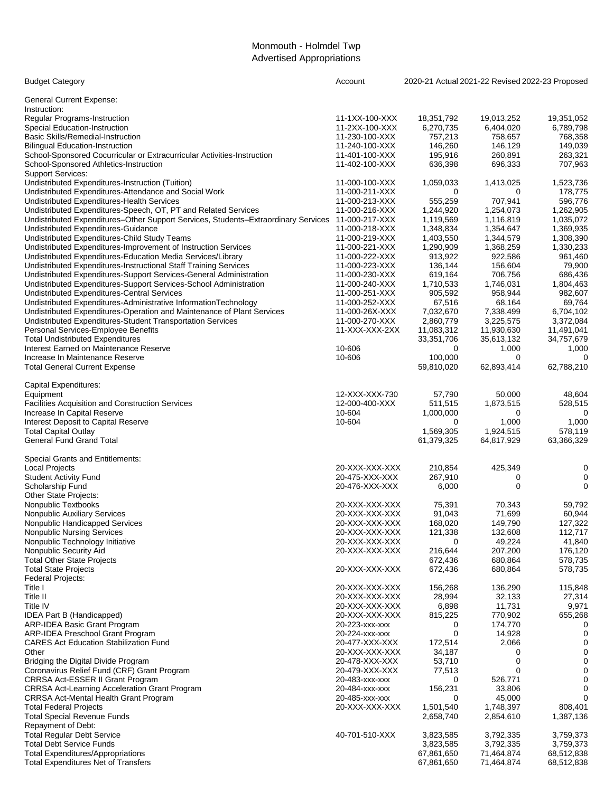# Monmouth - Holmdel Twp Advertised Appropriations

| <b>Budget Category</b>                                                             | Account        | 2020-21 Actual 2021-22 Revised 2022-23 Proposed |                     |                   |
|------------------------------------------------------------------------------------|----------------|-------------------------------------------------|---------------------|-------------------|
| <b>General Current Expense:</b>                                                    |                |                                                 |                     |                   |
| Instruction:                                                                       |                |                                                 |                     |                   |
| <b>Regular Programs-Instruction</b>                                                | 11-1XX-100-XXX | 18,351,792                                      | 19,013,252          | 19,351,052        |
| Special Education-Instruction                                                      | 11-2XX-100-XXX | 6,270,735                                       | 6,404,020           | 6,789,798         |
| Basic Skills/Remedial-Instruction                                                  | 11-230-100-XXX | 757,213                                         | 758,657             | 768,358           |
| <b>Bilingual Education-Instruction</b>                                             | 11-240-100-XXX | 146,260                                         | 146,129             | 149,039           |
| School-Sponsored Cocurricular or Extracurricular Activities-Instruction            | 11-401-100-XXX | 195,916                                         | 260,891             | 263,321           |
| School-Sponsored Athletics-Instruction<br><b>Support Services:</b>                 | 11-402-100-XXX | 636,398                                         | 696,333             | 707,963           |
| Undistributed Expenditures-Instruction (Tuition)                                   | 11-000-100-XXX | 1,059,033                                       | 1,413,025           | 1,523,736         |
| Undistributed Expenditures-Attendance and Social Work                              | 11-000-211-XXX | 0                                               | 0                   | 178,775           |
| Undistributed Expenditures-Health Services                                         | 11-000-213-XXX | 555,259                                         | 707,941             | 596,776           |
| Undistributed Expenditures-Speech, OT, PT and Related Services                     | 11-000-216-XXX | 1,244,920                                       | 1,254,073           | 1,262,905         |
| Undistributed Expenditures-Other Support Services, Students-Extraordinary Services | 11-000-217-XXX | 1,119,569                                       | 1,116,819           | 1,035,072         |
| Undistributed Expenditures-Guidance                                                | 11-000-218-XXX | 1,348,834                                       | 1,354,647           | 1,369,935         |
| Undistributed Expenditures-Child Study Teams                                       | 11-000-219-XXX | 1,403,550                                       | 1,344,579           | 1,308,390         |
| Undistributed Expenditures-Improvement of Instruction Services                     | 11-000-221-XXX | 1,290,909                                       | 1,368,259           | 1,330,233         |
| Undistributed Expenditures-Education Media Services/Library                        | 11-000-222-XXX | 913,922                                         | 922,586             | 961,460           |
| Undistributed Expenditures-Instructional Staff Training Services                   | 11-000-223-XXX | 136,144                                         | 156,604             | 79,900            |
| Undistributed Expenditures-Support Services-General Administration                 | 11-000-230-XXX | 619,164                                         | 706,756             | 686,436           |
| Undistributed Expenditures-Support Services-School Administration                  | 11-000-240-XXX | 1,710,533                                       | 1,746,031           | 1,804,463         |
| <b>Undistributed Expenditures-Central Services</b>                                 | 11-000-251-XXX | 905,592                                         | 958,944             | 982,607           |
| Undistributed Expenditures-Administrative InformationTechnology                    | 11-000-252-XXX | 67,516                                          | 68,164              | 69,764            |
| Undistributed Expenditures-Operation and Maintenance of Plant Services             | 11-000-26X-XXX | 7,032,670                                       | 7,338,499           | 6,704,102         |
| Undistributed Expenditures-Student Transportation Services                         | 11-000-270-XXX | 2,860,779                                       | 3,225,575           | 3,372,084         |
| Personal Services-Employee Benefits                                                | 11-XXX-XXX-2XX | 11,083,312                                      | 11,930,630          | 11,491,041        |
| <b>Total Undistributed Expenditures</b><br>Interest Earned on Maintenance Reserve  | 10-606         | 33,351,706<br>0                                 | 35,613,132<br>1,000 | 34,757,679        |
| Increase In Maintenance Reserve                                                    | 10-606         | 100.000                                         | 0                   | 1,000<br>$\Omega$ |
| <b>Total General Current Expense</b>                                               |                | 59,810,020                                      | 62,893,414          | 62,788,210        |
|                                                                                    |                |                                                 |                     |                   |
| Capital Expenditures:                                                              |                |                                                 |                     |                   |
| Equipment                                                                          | 12-XXX-XXX-730 | 57,790                                          | 50,000              | 48,604            |
| <b>Facilities Acquisition and Construction Services</b>                            | 12-000-400-XXX | 511,515                                         | 1,873,515           | 528,515           |
| Increase In Capital Reserve                                                        | 10-604         | 1,000,000<br>0                                  | 0                   | 0                 |
| Interest Deposit to Capital Reserve<br><b>Total Capital Outlay</b>                 | 10-604         | 1,569,305                                       | 1,000<br>1,924,515  | 1,000<br>578,119  |
| General Fund Grand Total                                                           |                | 61,379,325                                      | 64,817,929          | 63,366,329        |
|                                                                                    |                |                                                 |                     |                   |
| Special Grants and Entitlements:<br><b>Local Projects</b>                          | 20-XXX-XXX-XXX | 210,854                                         | 425,349             | 0                 |
| <b>Student Activity Fund</b>                                                       | 20-475-XXX-XXX | 267,910                                         | 0                   | 0                 |
| Scholarship Fund                                                                   | 20-476-XXX-XXX | 6,000                                           | 0                   | 0                 |
| Other State Projects:                                                              |                |                                                 |                     |                   |
| Nonpublic Textbooks                                                                | 20-XXX-XXX-XXX | 75,391                                          | 70,343              | 59,792            |
| Nonpublic Auxiliary Services                                                       | 20-XXX-XXX-XXX | 91,043                                          | 71,699              | 60,944            |
| Nonpublic Handicapped Services                                                     | 20-XXX-XXX-XXX | 168,020                                         | 149,790             | 127,322           |
| <b>Nonpublic Nursing Services</b>                                                  | 20-XXX-XXX-XXX | 121,338                                         | 132,608             | 112,717           |
| Nonpublic Technology Initiative                                                    | 20-XXX-XXX-XXX | 0                                               | 49,224              | 41,840            |
| Nonpublic Security Aid                                                             | 20-XXX-XXX-XXX | 216,644                                         | 207,200             | 176,120           |
| <b>Total Other State Projects</b>                                                  |                | 672,436                                         | 680,864             | 578,735           |
| <b>Total State Projects</b>                                                        | 20-XXX-XXX-XXX | 672,436                                         | 680,864             | 578,735           |
| Federal Projects:                                                                  |                |                                                 |                     |                   |
| Title I                                                                            | 20-XXX-XXX-XXX | 156,268                                         | 136,290             | 115,848           |
| Title II                                                                           | 20-XXX-XXX-XXX | 28,994                                          | 32,133              | 27,314            |
| Title IV                                                                           | 20-XXX-XXX-XXX | 6,898                                           | 11,731              | 9,971             |
| IDEA Part B (Handicapped)                                                          | 20-XXX-XXX-XXX | 815,225                                         | 770,902             | 655,268           |
| ARP-IDEA Basic Grant Program                                                       | 20-223-XXX-XXX | 0                                               | 174,770             | 0                 |
| ARP-IDEA Preschool Grant Program                                                   | 20-224-XXX-XXX | 0                                               | 14,928              | 0                 |
| <b>CARES Act Education Stabilization Fund</b>                                      | 20-477-XXX-XXX | 172,514                                         | 2,066               | 0                 |
| Other                                                                              | 20-XXX-XXX-XXX | 34,187                                          | 0                   | 0                 |
| Bridging the Digital Divide Program                                                | 20-478-XXX-XXX | 53,710                                          | 0                   | 0                 |
| Coronavirus Relief Fund (CRF) Grant Program                                        | 20-479-XXX-XXX | 77,513                                          | 0                   | 0                 |
| CRRSA Act-ESSER II Grant Program                                                   | 20-483-xxx-xxx | 0                                               | 526,771             | 0                 |
| <b>CRRSA Act-Learning Acceleration Grant Program</b>                               | 20-484-xxx-xxx | 156,231                                         | 33,806              |                   |
| CRRSA Act-Mental Health Grant Program                                              | 20-485-xxx-xxx | 0                                               | 45,000              | 0                 |
| <b>Total Federal Projects</b>                                                      | 20-XXX-XXX-XXX | 1,501,540                                       | 1,748,397           | 808,401           |
| <b>Total Special Revenue Funds</b>                                                 |                | 2,658,740                                       | 2,854,610           | 1,387,136         |
| Repayment of Debt:<br><b>Total Regular Debt Service</b>                            | 40-701-510-XXX | 3,823,585                                       | 3,792,335           | 3,759,373         |
| <b>Total Debt Service Funds</b>                                                    |                | 3,823,585                                       | 3,792,335           | 3,759,373         |
| <b>Total Expenditures/Appropriations</b>                                           |                | 67,861,650                                      | 71,464,874          | 68,512,838        |
| <b>Total Expenditures Net of Transfers</b>                                         |                | 67,861,650                                      | 71,464,874          | 68,512,838        |
|                                                                                    |                |                                                 |                     |                   |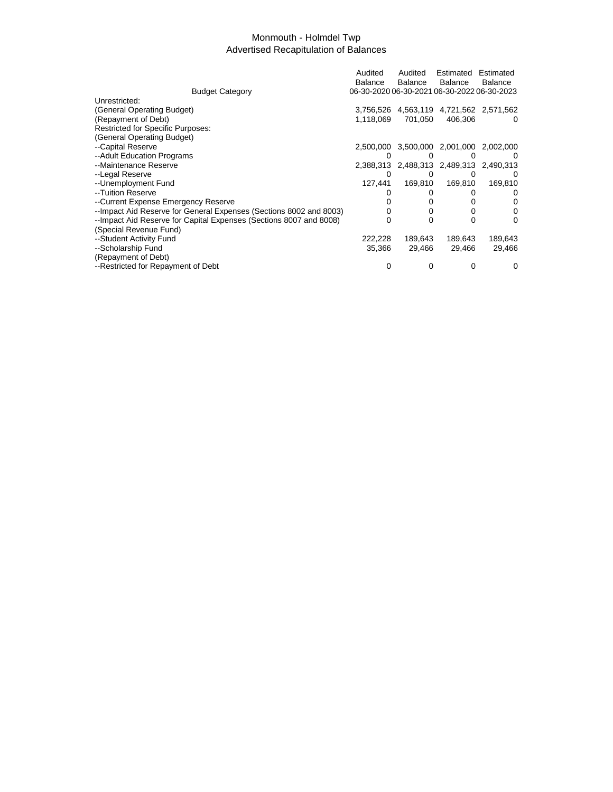### Monmouth - Holmdel Twp Advertised Recapitulation of Balances

|                                                                     | Audited                                     | Audited | Estimated      | Estimated                               |
|---------------------------------------------------------------------|---------------------------------------------|---------|----------------|-----------------------------------------|
|                                                                     | Balance                                     | Balance | <b>Balance</b> | Balance                                 |
| <b>Budget Category</b>                                              | 06-30-2020 06-30-2021 06-30-2022 06-30-2023 |         |                |                                         |
| Unrestricted:                                                       |                                             |         |                |                                         |
| (General Operating Budget)                                          |                                             |         |                | 3,756,526 4,563,119 4,721,562 2,571,562 |
| (Repayment of Debt)                                                 | 1,118,069                                   | 701,050 | 406,306        |                                         |
| <b>Restricted for Specific Purposes:</b>                            |                                             |         |                |                                         |
| (General Operating Budget)                                          |                                             |         |                |                                         |
| --Capital Reserve                                                   |                                             |         |                | 2,500,000 3,500,000 2,001,000 2,002,000 |
| --Adult Education Programs                                          | $\Omega$                                    | 0       | $\mathbf{0}$   | $^{(1)}$                                |
| --Maintenance Reserve                                               |                                             |         |                | 2,388,313 2,488,313 2,489,313 2,490,313 |
| --Legal Reserve                                                     |                                             | 0       |                |                                         |
| --Unemployment Fund                                                 | 127.441                                     | 169,810 | 169,810        | 169,810                                 |
| --Tuition Reserve                                                   |                                             |         |                | O                                       |
| --Current Expense Emergency Reserve                                 |                                             |         |                | O                                       |
| -- Impact Aid Reserve for General Expenses (Sections 8002 and 8003) |                                             |         |                | 0                                       |
| -- Impact Aid Reserve for Capital Expenses (Sections 8007 and 8008) |                                             | ∩       | U              | 0                                       |
| (Special Revenue Fund)                                              |                                             |         |                |                                         |
| --Student Activity Fund                                             | 222,228                                     | 189,643 | 189,643        | 189,643                                 |
| --Scholarship Fund                                                  | 35,366                                      | 29,466  | 29,466         | 29,466                                  |
| (Repayment of Debt)                                                 |                                             |         |                |                                         |
| --Restricted for Repayment of Debt                                  | 0                                           | 0       |                | O                                       |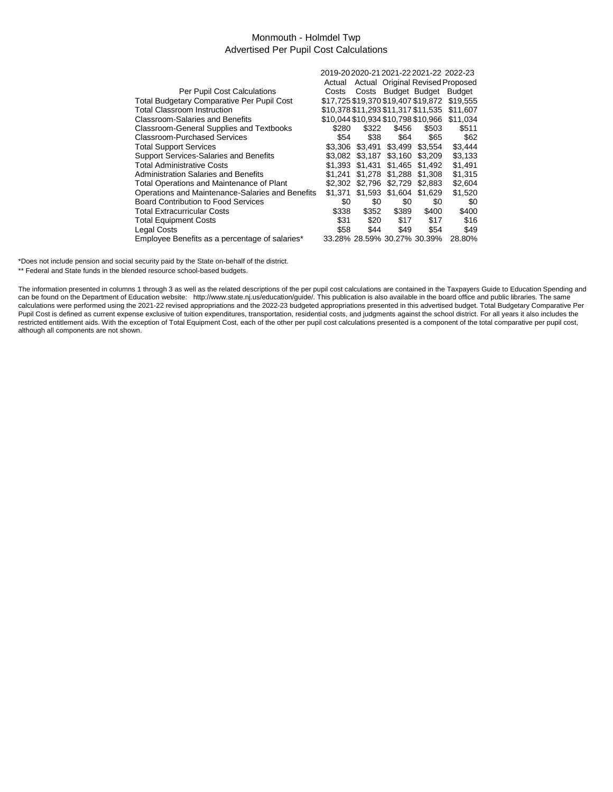### Monmouth - Holmdel Twp Advertised Per Pupil Cost Calculations

|                                                  | 2019-20 2020-21 2021-22 2021-22 2022-23 |         |                     |                             |                                  |
|--------------------------------------------------|-----------------------------------------|---------|---------------------|-----------------------------|----------------------------------|
|                                                  | Actual                                  |         |                     |                             | Actual Original Revised Proposed |
| Per Pupil Cost Calculations                      | Costs                                   |         | Costs Budget Budget |                             | Budget                           |
| Total Budgetary Comparative Per Pupil Cost       | \$17,725 \$19,370 \$19,407 \$19,872     |         |                     |                             | \$19,555                         |
| Total Classroom Instruction                      | \$10,378 \$11,293 \$11,317 \$11,535     |         |                     |                             | \$11.607                         |
| Classroom-Salaries and Benefits                  | \$10,044 \$10,934 \$10,798 \$10,966     |         |                     |                             | \$11,034                         |
| Classroom-General Supplies and Textbooks         | \$280                                   | \$322   | \$456               | \$503                       | \$511                            |
| <b>Classroom-Purchased Services</b>              | \$54                                    | \$38    | \$64                | \$65                        | \$62                             |
| <b>Total Support Services</b>                    | \$3.306                                 | \$3.491 | \$3.499             | \$3.554                     | \$3,444                          |
| Support Services-Salaries and Benefits           | \$3.082                                 | \$3.187 | \$3,160             | \$3.209                     | \$3,133                          |
| <b>Total Administrative Costs</b>                | \$1.393                                 | \$1.431 | \$1.465             | \$1.492                     | \$1,491                          |
| <b>Administration Salaries and Benefits</b>      | \$1.241                                 | \$1.278 | \$1.288             | \$1,308                     | \$1.315                          |
| Total Operations and Maintenance of Plant        | \$2.302                                 | \$2.796 | \$2.729             | \$2.883                     | \$2,604                          |
| Operations and Maintenance-Salaries and Benefits | \$1.371                                 | \$1.593 | \$1,604             | \$1.629                     | \$1.520                          |
| <b>Board Contribution to Food Services</b>       | \$0                                     | \$0     | \$0                 | \$0                         | \$0                              |
| <b>Total Extracurricular Costs</b>               | \$338                                   | \$352   | \$389               | \$400                       | \$400                            |
| <b>Total Equipment Costs</b>                     | \$31                                    | \$20    | \$17                | \$17                        | \$16                             |
| <b>Legal Costs</b>                               | \$58                                    | \$44    | \$49                | \$54                        | \$49                             |
| Employee Benefits as a percentage of salaries*   |                                         |         |                     | 33.28% 28.59% 30.27% 30.39% | 28.80%                           |

\*Does not include pension and social security paid by the State on-behalf of the district.

\*\* Federal and State funds in the blended resource school-based budgets.

The information presented in columns 1 through 3 as well as the related descriptions of the per pupil cost calculations are contained in the Taxpayers Guide to Education Spending and can be found on the Department of Education website: http://www.state.nj.us/education/guide/. This publication is also available in the board office and public libraries. The same calculations were performed using the 2021-22 revised appropriations and the 2022-23 budgeted appropriations presented in this advertised budget. Total Budgetary Comparative Per Pupil Cost is defined as current expense exclusive of tuition expenditures, transportation, residential costs, and judgments against the school district. For all years it also includes the restricted entitlement aids. With the exception of Total Equipment Cost, each of the other per pupil cost calculations presented is a component of the total comparative per pupil cost, although all components are not shown.